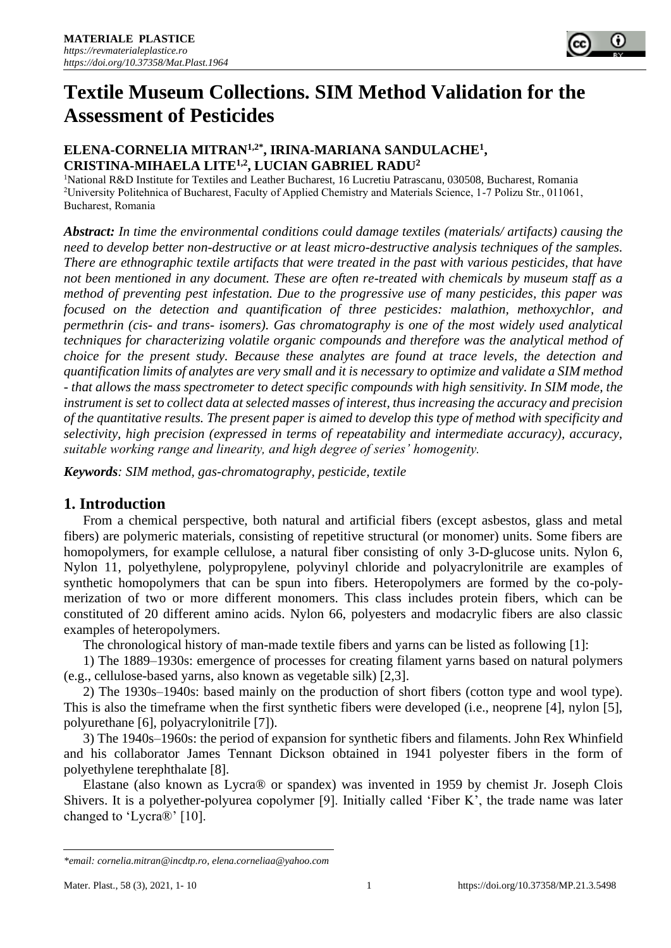

# **Textile Museum Collections. SIM Method Validation for the Assessment of Pesticides**

# **ELENA-CORNELIA MITRAN1,2\*, IRINA-MARIANA SANDULACHE<sup>1</sup> , CRISTINA-MIHAELA LITE1,2, LUCIAN GABRIEL RADU<sup>2</sup>**

<sup>1</sup>National R&D Institute for Textiles and Leather Bucharest, 16 Lucretiu Patrascanu, 030508, Bucharest, Romania <sup>2</sup>University Politehnica of Bucharest, Faculty of Applied Chemistry and Materials Science, 1-7 Polizu Str., 011061, Bucharest, Romania

*Abstract: In time the environmental conditions could damage textiles (materials/ artifacts) causing the need to develop better non-destructive or at least micro-destructive analysis techniques of the samples. There are ethnographic textile artifacts that were treated in the past with various pesticides, that have not been mentioned in any document. These are often re-treated with chemicals by museum staff as a method of preventing pest infestation. Due to the progressive use of many pesticides, this paper was focused on the detection and quantification of three pesticides: malathion, methoxychlor, and permethrin (cis- and trans- isomers). Gas chromatography is one of the most widely used analytical techniques for characterizing volatile organic compounds and therefore was the analytical method of choice for the present study. Because these analytes are found at trace levels, the detection and quantification limits of analytes are very small and it is necessary to optimize and validate a SIM method - that allows the mass spectrometer to detect specific compounds with high sensitivity. In SIM mode, the instrument is set to collect data at selected masses of interest, thus increasing the accuracy and precision of the quantitative results. The present paper is aimed to develop this type of method with specificity and selectivity, high precision (expressed in terms of repeatability and intermediate accuracy), accuracy, suitable working range and linearity, and high degree of series' homogenity.* 

*Keywords: SIM method, gas-chromatography, pesticide, textile*

# **1. Introduction**

From a chemical perspective, both natural and artificial fibers (except asbestos, glass and metal fibers) are polymeric materials, consisting of repetitive structural (or monomer) units. Some fibers are homopolymers, for example cellulose, a natural fiber consisting of only 3-D-glucose units. Nylon 6, Nylon 11, polyethylene, polypropylene, polyvinyl chloride and polyacrylonitrile are examples of synthetic homopolymers that can be spun into fibers. Heteropolymers are formed by the co-polymerization of two or more different monomers. This class includes protein fibers, which can be constituted of 20 different amino acids. Nylon 66, polyesters and modacrylic fibers are also classic examples of heteropolymers.

The chronological history of man-made textile fibers and yarns can be listed as following [1]:

1) The 1889–1930s: emergence of processes for creating filament yarns based on natural polymers (e.g., cellulose-based yarns, also known as vegetable silk) [2,3].

2) The 1930s–1940s: based mainly on the production of short fibers (cotton type and wool type). This is also the timeframe when the first synthetic fibers were developed (i.e., neoprene [4], nylon [5], polyurethane [6], polyacrylonitrile [7]).

3) The 1940s–1960s: the period of expansion for synthetic fibers and filaments. John Rex Whinfield and his collaborator James Tennant Dickson obtained in 1941 polyester fibers in the form of polyethylene terephthalate [8].

Elastane (also known as Lycra® or spandex) was invented in 1959 by chemist Jr. Joseph Clois Shivers. It is a polyether-polyurea copolymer [9]. Initially called 'Fiber K', the trade name was later changed to 'Lycra®' [10].

*<sup>\*</sup>email[: cornelia.mitran@incdtp.ro,](mailto:cornelia.mitran@incdtp.ro) [elena.corneliaa@yahoo.com](mailto:elena.corneliaa@yahoo.com)*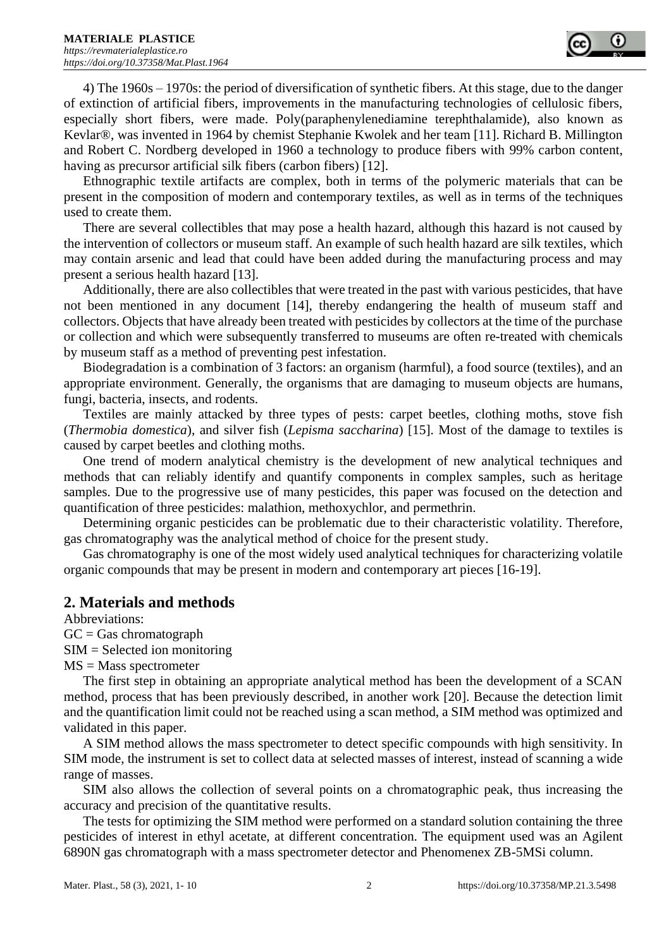

4) The 1960s – 1970s: the period of diversification of synthetic fibers. At this stage, due to the danger of extinction of artificial fibers, improvements in the manufacturing technologies of cellulosic fibers, especially short fibers, were made. Poly(paraphenylenediamine terephthalamide), also known as Kevlar®, was invented in 1964 by chemist Stephanie Kwolek and her team [11]. Richard B. Millington and Robert C. Nordberg developed in 1960 a technology to produce fibers with 99% carbon content, having as precursor artificial silk fibers (carbon fibers) [12].

Ethnographic textile artifacts are complex, both in terms of the polymeric materials that can be present in the composition of modern and contemporary textiles, as well as in terms of the techniques used to create them.

There are several collectibles that may pose a health hazard, although this hazard is not caused by the intervention of collectors or museum staff. An example of such health hazard are silk textiles, which may contain arsenic and lead that could have been added during the manufacturing process and may present a serious health hazard [13].

Additionally, there are also collectibles that were treated in the past with various pesticides, that have not been mentioned in any document [14], thereby endangering the health of museum staff and collectors. Objects that have already been treated with pesticides by collectors at the time of the purchase or collection and which were subsequently transferred to museums are often re-treated with chemicals by museum staff as a method of preventing pest infestation.

Biodegradation is a combination of 3 factors: an organism (harmful), a food source (textiles), and an appropriate environment. Generally, the organisms that are damaging to museum objects are humans, fungi, bacteria, insects, and rodents.

Textiles are mainly attacked by three types of pests: carpet beetles, clothing moths, stove fish (*Thermobia domestica*), and silver fish (*Lepisma saccharina*) [15]. Most of the damage to textiles is caused by carpet beetles and clothing moths.

One trend of modern analytical chemistry is the development of new analytical techniques and methods that can reliably identify and quantify components in complex samples, such as heritage samples. Due to the progressive use of many pesticides, this paper was focused on the detection and quantification of three pesticides: malathion, methoxychlor, and permethrin.

Determining organic pesticides can be problematic due to their characteristic volatility. Therefore, gas chromatography was the analytical method of choice for the present study.

Gas chromatography is one of the most widely used analytical techniques for characterizing volatile organic compounds that may be present in modern and contemporary art pieces [16-19].

# **2. Materials and methods**

Abbreviations:  $GC = Gas$  chromatograph SIM = Selected ion monitoring

MS = Mass spectrometer

The first step in obtaining an appropriate analytical method has been the development of a SCAN method, process that has been previously described, in another work [20]. Because the detection limit and the quantification limit could not be reached using a scan method, a SIM method was optimized and validated in this paper.

A SIM method allows the mass spectrometer to detect specific compounds with high sensitivity. In SIM mode, the instrument is set to collect data at selected masses of interest, instead of scanning a wide range of masses.

SIM also allows the collection of several points on a chromatographic peak, thus increasing the accuracy and precision of the quantitative results.

The tests for optimizing the SIM method were performed on a standard solution containing the three pesticides of interest in ethyl acetate, at different concentration. The equipment used was an Agilent 6890N gas chromatograph with a mass spectrometer detector and Phenomenex ZB-5MSi column.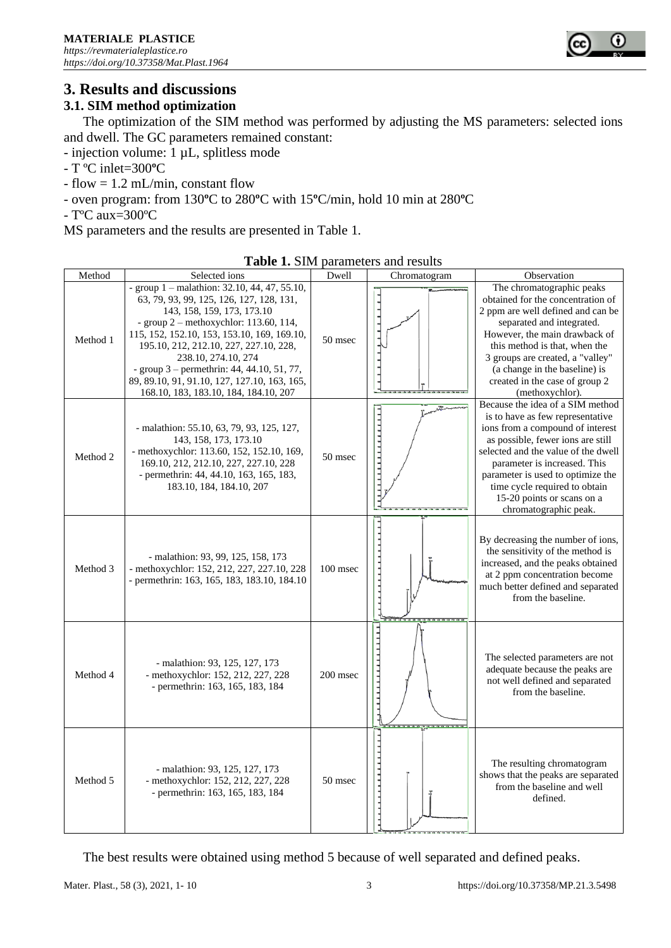

# **3. Results and discussions**

# **3.1. SIM method optimization**

The optimization of the SIM method was performed by adjusting the MS parameters: selected ions and dwell. The GC parameters remained constant:

- injection volume: 1 µL, splitless mode

- T ºC inlet=300**º**C
- $-$  flow  $= 1.2$  mL/min, constant flow
- oven program: from 130**º**C to 280**º**C with 15**º**C/min, hold 10 min at 280**º**C

- TºC aux=300ºC

MS parameters and the results are presented in Table 1.

| Method   | Selected ions                                                                                                                                                                                                                                                                                                                                                                                                                 | Dwell    | Chromatogram                 | Observation                                                                                                                                                                                                                                                                                                                                       |
|----------|-------------------------------------------------------------------------------------------------------------------------------------------------------------------------------------------------------------------------------------------------------------------------------------------------------------------------------------------------------------------------------------------------------------------------------|----------|------------------------------|---------------------------------------------------------------------------------------------------------------------------------------------------------------------------------------------------------------------------------------------------------------------------------------------------------------------------------------------------|
| Method 1 | - group $1$ – malathion: 32.10, 44, 47, 55.10,<br>63, 79, 93, 99, 125, 126, 127, 128, 131,<br>143, 158, 159, 173, 173.10<br>- group $2$ – methoxychlor: 113.60, 114,<br>115, 152, 152.10, 153, 153.10, 169, 169.10,<br>195.10, 212, 212.10, 227, 227.10, 228,<br>238.10, 274.10, 274<br>- group $3$ – permethrin: 44, 44.10, 51, 77,<br>89, 89.10, 91, 91.10, 127, 127.10, 163, 165,<br>168.10, 183, 183.10, 184, 184.10, 207 | 50 msec  |                              | The chromatographic peaks<br>obtained for the concentration of<br>2 ppm are well defined and can be<br>separated and integrated.<br>However, the main drawback of<br>this method is that, when the<br>3 groups are created, a "valley"<br>(a change in the baseline) is<br>created in the case of group 2<br>(methoxychlor).                      |
| Method 2 | - malathion: 55.10, 63, 79, 93, 125, 127,<br>143, 158, 173, 173.10<br>- methoxychlor: 113.60, 152, 152.10, 169,<br>169.10, 212, 212.10, 227, 227.10, 228<br>- permethrin: 44, 44.10, 163, 165, 183,<br>183.10, 184, 184.10, 207                                                                                                                                                                                               | 50 msec  | تتقد<br>11111111111111111111 | Because the idea of a SIM method<br>is to have as few representative<br>ions from a compound of interest<br>as possible, fewer ions are still<br>selected and the value of the dwell<br>parameter is increased. This<br>parameter is used to optimize the<br>time cycle required to obtain<br>15-20 points or scans on a<br>chromatographic peak. |
| Method 3 | - malathion: 93, 99, 125, 158, 173<br>- methoxychlor: 152, 212, 227, 227.10, 228<br>- permethrin: 163, 165, 183, 183.10, 184.10                                                                                                                                                                                                                                                                                               | 100 msec |                              | By decreasing the number of ions,<br>the sensitivity of the method is<br>increased, and the peaks obtained<br>at 2 ppm concentration become<br>much better defined and separated<br>from the baseline.                                                                                                                                            |
| Method 4 | - malathion: 93, 125, 127, 173<br>- methoxychlor: 152, 212, 227, 228<br>- permethrin: 163, 165, 183, 184                                                                                                                                                                                                                                                                                                                      | 200 msec | .                            | The selected parameters are not<br>adequate because the peaks are<br>not well defined and separated<br>from the baseline.                                                                                                                                                                                                                         |
| Method 5 | - malathion: 93, 125, 127, 173<br>- methoxychlor: 152, 212, 227, 228<br>- permethrin: 163, 165, 183, 184                                                                                                                                                                                                                                                                                                                      | 50 msec  |                              | The resulting chromatogram<br>shows that the peaks are separated<br>from the baseline and well<br>defined.                                                                                                                                                                                                                                        |

**Table 1.** SIM parameters and results

The best results were obtained using method 5 because of well separated and defined peaks.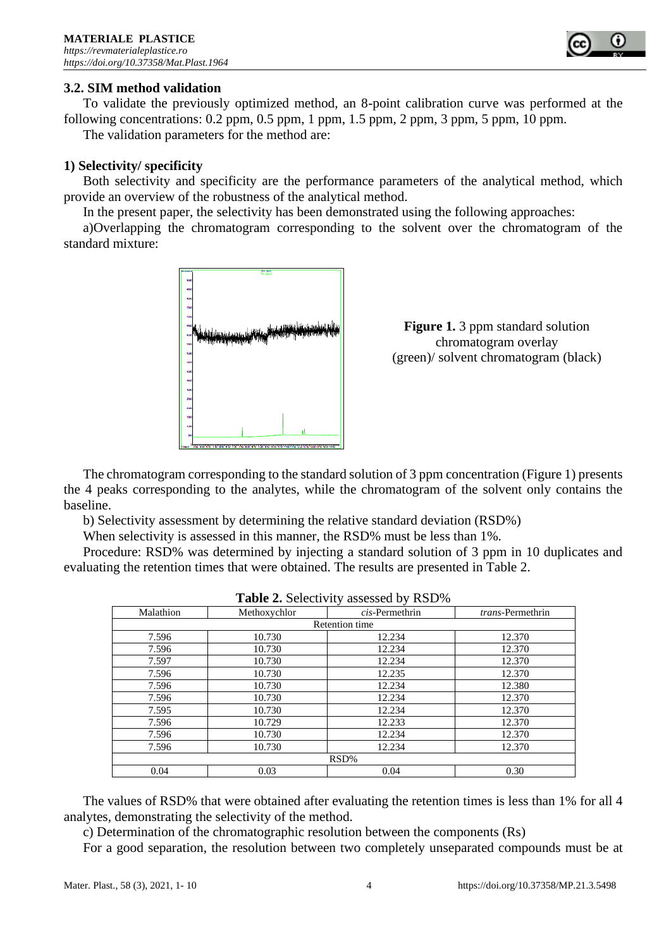

# **3.2. SIM method validation**

To validate the previously optimized method, an 8-point calibration curve was performed at the following concentrations:  $0.2$  ppm,  $0.5$  ppm,  $1$  ppm,  $1.5$  ppm,  $2$  ppm,  $3$  ppm,  $5$  ppm,  $10$  ppm.

The validation parameters for the method are:

#### **1) Selectivity/ specificity**

Both selectivity and specificity are the performance parameters of the analytical method, which provide an overview of the robustness of the analytical method.

In the present paper, the selectivity has been demonstrated using the following approaches:

a)Overlapping the chromatogram corresponding to the solvent over the chromatogram of the standard mixture:





The chromatogram corresponding to the standard solution of 3 ppm concentration (Figure 1) presents the 4 peaks corresponding to the analytes, while the chromatogram of the solvent only contains the baseline.

b) Selectivity assessment by determining the relative standard deviation (RSD%)

When selectivity is assessed in this manner, the RSD% must be less than 1%.

Procedure: RSD% was determined by injecting a standard solution of 3 ppm in 10 duplicates and evaluating the retention times that were obtained. The results are presented in Table 2.

| <b>Lable 2.</b> Selectivity assessed by $\mathbb{R}$ SD 70 |              |                       |                          |  |  |  |  |
|------------------------------------------------------------|--------------|-----------------------|--------------------------|--|--|--|--|
| Malathion                                                  | Methoxychlor | $cis$ -Permethrin     | <i>trans</i> -Permethrin |  |  |  |  |
|                                                            |              | <b>Retention</b> time |                          |  |  |  |  |
| 7.596                                                      | 10.730       | 12.234                | 12.370                   |  |  |  |  |
| 7.596                                                      | 10.730       | 12.234                | 12.370                   |  |  |  |  |
| 7.597                                                      | 10.730       | 12.234                | 12.370                   |  |  |  |  |
| 7.596                                                      | 10.730       | 12.235                | 12.370                   |  |  |  |  |
| 7.596                                                      | 10.730       | 12.234                | 12.380                   |  |  |  |  |
| 7.596                                                      | 10.730       | 12.234                | 12.370                   |  |  |  |  |
| 7.595                                                      | 10.730       | 12.234                | 12.370                   |  |  |  |  |
| 7.596                                                      | 10.729       | 12.233                | 12.370                   |  |  |  |  |
| 7.596                                                      | 10.730       | 12.234                | 12.370                   |  |  |  |  |
| 7.596                                                      | 10.730       | 12.234                | 12.370                   |  |  |  |  |
|                                                            | RSD%         |                       |                          |  |  |  |  |
| 0.04                                                       | 0.03         | 0.04                  | 0.30                     |  |  |  |  |

The values of RSD% that were obtained after evaluating the retention times is less than 1% for all 4 analytes, demonstrating the selectivity of the method.

c) Determination of the chromatographic resolution between the components (Rs)

For a good separation, the resolution between two completely unseparated compounds must be at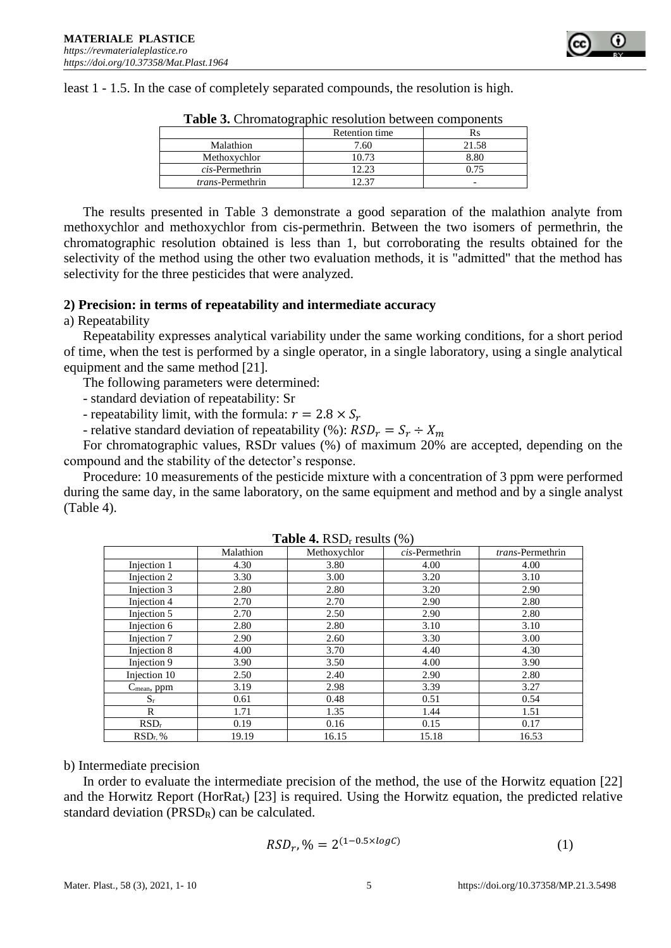

least 1 - 1.5. In the case of completely separated compounds, the resolution is high.

| <b>Tuble of Singlianglapine resolution occur components</b> |                |       |  |  |  |  |
|-------------------------------------------------------------|----------------|-------|--|--|--|--|
|                                                             | Retention time | Rs    |  |  |  |  |
| Malathion                                                   | 7.60           | 21.58 |  |  |  |  |
| Methoxychlor                                                | 10.73          | 8.80  |  |  |  |  |
| <i>cis</i> -Permethrin                                      | 12.23          | 0.75  |  |  |  |  |
| <i>trans</i> -Permethrin                                    | 2.37           |       |  |  |  |  |

**Table 3.** Chromatographic resolution between components

The results presented in Table 3 demonstrate a good separation of the malathion analyte from methoxychlor and methoxychlor from cis-permethrin. Between the two isomers of permethrin, the chromatographic resolution obtained is less than 1, but corroborating the results obtained for the selectivity of the method using the other two evaluation methods, it is "admitted" that the method has selectivity for the three pesticides that were analyzed.

#### **2) Precision: in terms of repeatability and intermediate accuracy**

a) Repeatability

Repeatability expresses analytical variability under the same working conditions, for a short period of time, when the test is performed by a single operator, in a single laboratory, using a single analytical equipment and the same method [21].

The following parameters were determined:

- standard deviation of repeatability: Sr

- repeatability limit, with the formula:  $r = 2.8 \times S_r$ 

- relative standard deviation of repeatability (%):  $RSD_r = S_r \div X_m$ 

For chromatographic values, RSDr values (%) of maximum 20% are accepted, depending on the compound and the stability of the detector's response.

Procedure: 10 measurements of the pesticide mixture with a concentration of 3 ppm were performed during the same day, in the same laboratory, on the same equipment and method and by a single analyst (Table 4).

| $1001C - 115D - 10001C - 100T$ |           |              |                |                         |  |  |  |  |
|--------------------------------|-----------|--------------|----------------|-------------------------|--|--|--|--|
|                                | Malathion | Methoxychlor | cis-Permethrin | <i>trans-Permethrin</i> |  |  |  |  |
| Injection 1                    | 4.30      | 3.80         | 4.00           | 4.00                    |  |  |  |  |
| Injection 2                    | 3.30      | 3.00         | 3.20           | 3.10                    |  |  |  |  |
| Injection 3                    | 2.80      | 2.80         | 3.20           | 2.90                    |  |  |  |  |
| Injection 4                    | 2.70      | 2.70         | 2.90           | 2.80                    |  |  |  |  |
| Injection 5                    | 2.70      | 2.50         | 2.90           | 2.80                    |  |  |  |  |
| Injection 6                    | 2.80      | 2.80         | 3.10           | 3.10                    |  |  |  |  |
| Injection 7                    | 2.90      | 2.60         | 3.30           | 3.00                    |  |  |  |  |
| Injection 8                    | 4.00      | 3.70         | 4.40           | 4.30                    |  |  |  |  |
| Injection 9                    | 3.90      | 3.50         | 4.00           | 3.90                    |  |  |  |  |
| Injection 10                   | 2.50      | 2.40         | 2.90           | 2.80                    |  |  |  |  |
| $C_{mean}$ , ppm               | 3.19      | 2.98         | 3.39           | 3.27                    |  |  |  |  |
| $S_r$                          | 0.61      | 0.48         | 0.51           | 0.54                    |  |  |  |  |
| R                              | 1.71      | 1.35         | 1.44           | 1.51                    |  |  |  |  |
| RSD <sub>r</sub>               | 0.19      | 0.16         | 0.15           | 0.17                    |  |  |  |  |
| $RSDr$ %                       | 19.19     | 16.15        | 15.18          | 16.53                   |  |  |  |  |

| <b>Table 4.</b> $RSD_r$ results $(\%)$ |  |
|----------------------------------------|--|
|----------------------------------------|--|

b) Intermediate precision

In order to evaluate the intermediate precision of the method, the use of the Horwitz equation [22] and the Horwitz Report (HorRatr) [23] is required. Using the Horwitz equation, the predicted relative standard deviation ( $PRSD<sub>R</sub>$ ) can be calculated.

$$
RSDr, % = 2(1-0.5 \times log C)
$$
 (1)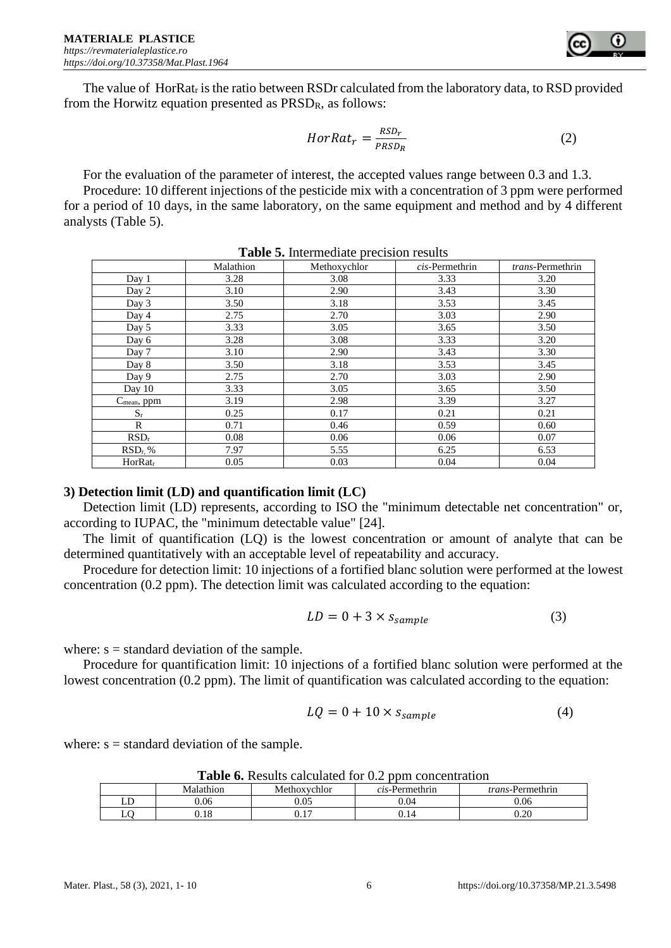The value of  $HorRat_r$  is the ratio between RSDr calculated from the laboratory data, to RSD provided from the Horwitz equation presented as PRSDR, as follows:

$$
HorRat_r = \frac{RSD_r}{PRSD_R}
$$
 (2)

For the evaluation of the parameter of interest, the accepted values range between 0.3 and 1.3.

Procedure: 10 different injections of the pesticide mix with a concentration of 3 ppm were performed for a period of 10 days, in the same laboratory, on the same equipment and method and by 4 different analysts (Table 5).

|                            | Malathion | Methoxychlor | cis-Permethrin | trans-Permethrin |
|----------------------------|-----------|--------------|----------------|------------------|
| Day 1                      | 3.28      | 3.08         | 3.33           | 3.20             |
| Day 2                      | 3.10      | 2.90         | 3.43           | 3.30             |
| Day 3                      | 3.50      | 3.18         | 3.53           | 3.45             |
| Day 4                      | 2.75      | 2.70         | 3.03           | 2.90             |
| Day 5                      | 3.33      | 3.05         | 3.65           | 3.50             |
| Day 6                      | 3.28      | 3.08         | 3.33           | 3.20             |
| Day 7                      | 3.10      | 2.90         | 3.43           | 3.30             |
| Day 8                      | 3.50      | 3.18         | 3.53           | 3.45             |
| Day 9                      | 2.75      | 2.70         | 3.03           | 2.90             |
| Day 10                     | 3.33      | 3.05         | 3.65           | 3.50             |
| C <sub>mean</sub> , ppm    | 3.19      | 2.98         | 3.39           | 3.27             |
| $S_r$                      | 0.25      | 0.17         | 0.21           | 0.21             |
| R                          | 0.71      | 0.46         | 0.59           | 0.60             |
| $RSD_r$                    | 0.08      | 0.06         | 0.06           | 0.07             |
| $RSD_r$ %                  | 7.97      | 5.55         | 6.25           | 6.53             |
| <b>HorRat</b> <sub>r</sub> | 0.05      | 0.03         | 0.04           | 0.04             |

**Table 5.** Intermediate precision results

# **3) Detection limit (LD) and quantification limit (LC)**

Detection limit (LD) represents, according to ISO the "minimum detectable net concentration" or, according to IUPAC, the "minimum detectable value" [24].

The limit of quantification (LQ) is the lowest concentration or amount of analyte that can be determined quantitatively with an acceptable level of repeatability and accuracy.

Procedure for detection limit: 10 injections of a fortified blanc solution were performed at the lowest concentration (0.2 ppm). The detection limit was calculated according to the equation:

$$
LD = 0 + 3 \times s_{sample}
$$
 (3)

where:  $s =$  standard deviation of the sample.

Procedure for quantification limit: 10 injections of a fortified blanc solution were performed at the lowest concentration (0.2 ppm). The limit of quantification was calculated according to the equation:

$$
LQ = 0 + 10 \times s_{sample}
$$
 (4)

where:  $s =$  standard deviation of the sample.

| <b>Table 0.</b> Nesults calculated for 0.2 ppm concentration |                                                                                 |      |      |      |  |  |  |
|--------------------------------------------------------------|---------------------------------------------------------------------------------|------|------|------|--|--|--|
|                                                              | Malathion<br>Methoxychlor<br><i>cis</i> -Permethrin<br><i>trans</i> -Permethrin |      |      |      |  |  |  |
|                                                              | 0.06                                                                            | 0.05 | 0.04 | 0.06 |  |  |  |
|                                                              | .18                                                                             |      | ).14 | 0.20 |  |  |  |

**Table 6.** Results calculated for 0.2 ppm concentration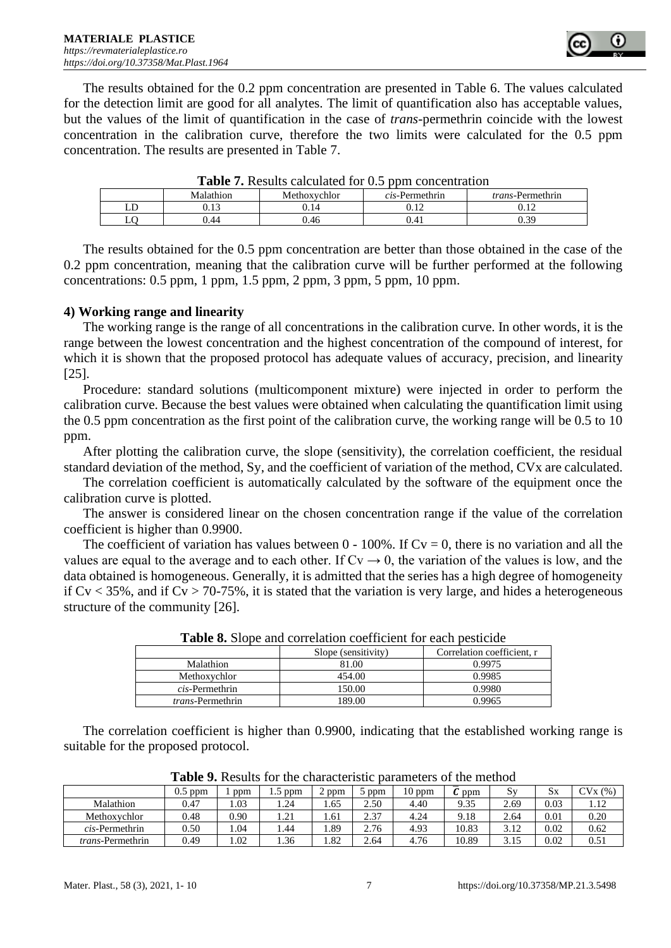The results obtained for the 0.2 ppm concentration are presented in Table 6. The values calculated for the detection limit are good for all analytes. The limit of quantification also has acceptable values, but the values of the limit of quantification in the case of *trans*-permethrin coincide with the lowest concentration in the calibration curve, therefore the two limits were calculated for the 0.5 ppm concentration. The results are presented in Table 7.

| Malathion | Methoxychlor | $cis$ -Permethrin | <i>trans</i> -Permethrin |
|-----------|--------------|-------------------|--------------------------|
| 0.13      | ).14         | <b>1 ገ</b>        | ).12                     |
| 0.44      | ).46         |                   | 0.39                     |
|           |              |                   |                          |

**Table 7.** Results calculated for 0.5 ppm concentration

The results obtained for the 0.5 ppm concentration are better than those obtained in the case of the 0.2 ppm concentration, meaning that the calibration curve will be further performed at the following concentrations:  $0.5$  ppm,  $1$  ppm,  $1.5$  ppm,  $2$  ppm,  $3$  ppm,  $5$  ppm,  $10$  ppm.

# **4) Working range and linearity**

The working range is the range of all concentrations in the calibration curve. In other words, it is the range between the lowest concentration and the highest concentration of the compound of interest, for which it is shown that the proposed protocol has adequate values of accuracy, precision, and linearity [25].

Procedure: standard solutions (multicomponent mixture) were injected in order to perform the calibration curve. Because the best values were obtained when calculating the quantification limit using the 0.5 ppm concentration as the first point of the calibration curve, the working range will be 0.5 to 10 ppm.

After plotting the calibration curve, the slope (sensitivity), the correlation coefficient, the residual standard deviation of the method, Sy, and the coefficient of variation of the method, CVx are calculated.

The correlation coefficient is automatically calculated by the software of the equipment once the calibration curve is plotted.

The answer is considered linear on the chosen concentration range if the value of the correlation coefficient is higher than 0.9900.

The coefficient of variation has values between  $0 - 100\%$ . If  $Cv = 0$ , there is no variation and all the values are equal to the average and to each other. If  $Cv \rightarrow 0$ , the variation of the values is low, and the data obtained is homogeneous. Generally, it is admitted that the series has a high degree of homogeneity if  $Cv < 35\%$ , and if  $Cv > 70-75\%$ , it is stated that the variation is very large, and hides a heterogeneous structure of the community [26].

|                          | Slope (sensitivity) | Correlation coefficient. r |  |  |  |  |  |
|--------------------------|---------------------|----------------------------|--|--|--|--|--|
| Malathion                | 81.00               | 0.9975                     |  |  |  |  |  |
| Methoxychlor             | 454.00              | 0.9985                     |  |  |  |  |  |
| <i>cis</i> -Permethrin   | 150.00              | 0.9980                     |  |  |  |  |  |
| <i>trans</i> -Permethrin | 189.00              | 0.9965                     |  |  |  |  |  |

**Table 8.** Slope and correlation coefficient for each pesticide

The correlation coefficient is higher than 0.9900, indicating that the established working range is suitable for the proposed protocol.

|                          | 0.5<br>ppm | ppm  | 1.5 ppm                 | $2$ ppm | ppm  | $10$ ppm | ppm   | $S_{V}$ | $S_{X}$ | CVx(%) |
|--------------------------|------------|------|-------------------------|---------|------|----------|-------|---------|---------|--------|
| Malathion                | 0.47       | 1.03 | 1.24                    | 1.65    | 2.50 | 4.40     | 9.35  | 2.69    | 0.03    | 12<br> |
| Methoxychlor             | 0.48       | 0.90 | $\mathcal{D}$ 1<br>1.41 | 1.61    | 2.37 | 4.24     | 9.18  | 2.64    | 0.01    | 0.20   |
| $cis$ -Permethrin        | 0.50       | .04  | . 44                    | . 89    | 2.76 | 4.93     | 10.83 | 3.12    | 0.02    | 0.62   |
| <i>trans</i> -Permethrin | 0.49       | .02  | . 36                    | 1.82    | 2.64 | 4.76     | 10.89 | 3.15    | 0.02    | 0.51   |

**Table 9.** Results for the characteristic parameters of the method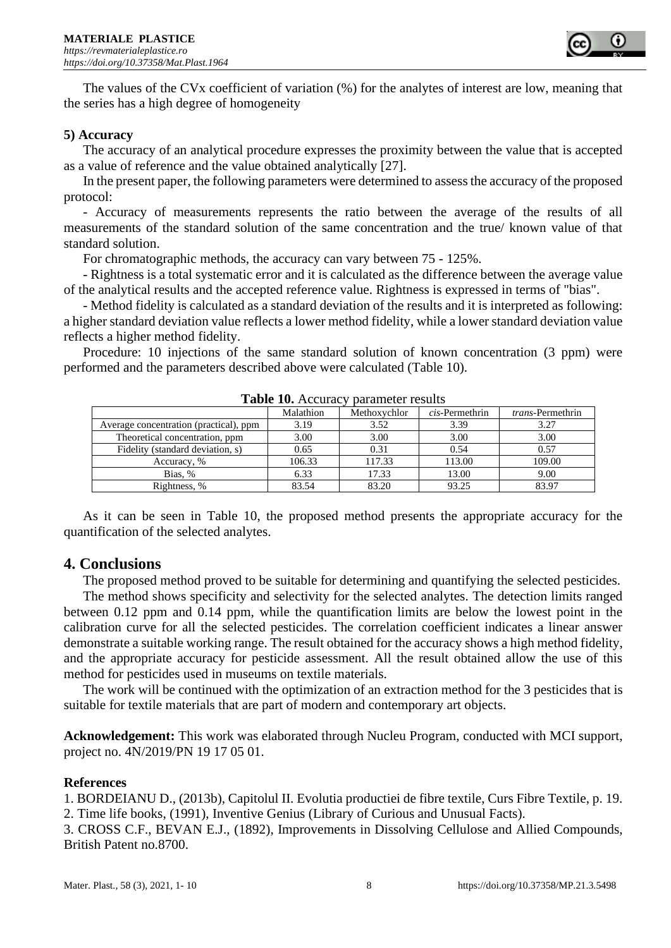

The values of the CVx coefficient of variation (%) for the analytes of interest are low, meaning that the series has a high degree of homogeneity

## **5) Accuracy**

The accuracy of an analytical procedure expresses the proximity between the value that is accepted as a value of reference and the value obtained analytically [27].

In the present paper, the following parameters were determined to assess the accuracy of the proposed protocol:

- Accuracy of measurements represents the ratio between the average of the results of all measurements of the standard solution of the same concentration and the true/ known value of that standard solution.

For chromatographic methods, the accuracy can vary between 75 - 125%.

- Rightness is a total systematic error and it is calculated as the difference between the average value of the analytical results and the accepted reference value. Rightness is expressed in terms of "bias".

- Method fidelity is calculated as a standard deviation of the results and it is interpreted as following:

a higher standard deviation value reflects a lower method fidelity, while a lower standard deviation value reflects a higher method fidelity.

Procedure: 10 injections of the same standard solution of known concentration (3 ppm) were performed and the parameters described above were calculated (Table 10).

| Tuble To: Acculacy<br><b>Daramotor results</b> |           |              |                   |                          |  |  |  |
|------------------------------------------------|-----------|--------------|-------------------|--------------------------|--|--|--|
|                                                | Malathion | Methoxychlor | $cis$ -Permethrin | <i>trans</i> -Permethrin |  |  |  |
| Average concentration (practical), ppm         | 3.19      | 3.52         | 3.39              | 3.27                     |  |  |  |
| Theoretical concentration, ppm                 | 3.00      | 3.00         | 3.00              | 3.00                     |  |  |  |
| Fidelity (standard deviation, s)               | 0.65      | 0.31         | 0.54              | 0.57                     |  |  |  |
| Accuracy, %                                    | 106.33    | 117.33       | 113.00            | 109.00                   |  |  |  |
| Bias. %                                        | 6.33      | 17.33        | 13.00             | 9.00                     |  |  |  |
| Rightness, %                                   | 83.54     | 83.20        | 93.25             | 83.97                    |  |  |  |

**Table 10.** Accuracy parameter results

As it can be seen in Table 10, the proposed method presents the appropriate accuracy for the quantification of the selected analytes.

# **4. Conclusions**

The proposed method proved to be suitable for determining and quantifying the selected pesticides.

The method shows specificity and selectivity for the selected analytes. The detection limits ranged between 0.12 ppm and 0.14 ppm, while the quantification limits are below the lowest point in the calibration curve for all the selected pesticides. The correlation coefficient indicates a linear answer demonstrate a suitable working range. The result obtained for the accuracy shows a high method fidelity, and the appropriate accuracy for pesticide assessment. All the result obtained allow the use of this method for pesticides used in museums on textile materials.

The work will be continued with the optimization of an extraction method for the 3 pesticides that is suitable for textile materials that are part of modern and contemporary art objects.

**Acknowledgement:** This work was elaborated through Nucleu Program, conducted with MCI support, project no. 4N/2019/PN 19 17 05 01.

# **References**

1. BORDEIANU D., (2013b), Capitolul II. Evolutia productiei de fibre textile, Curs Fibre Textile, p. 19. 2. Time life books, (1991), Inventive Genius (Library of Curious and Unusual Facts).

3. CROSS C.F., BEVAN E.J., (1892), Improvements in Dissolving Cellulose and Allied Compounds, British Patent no.8700.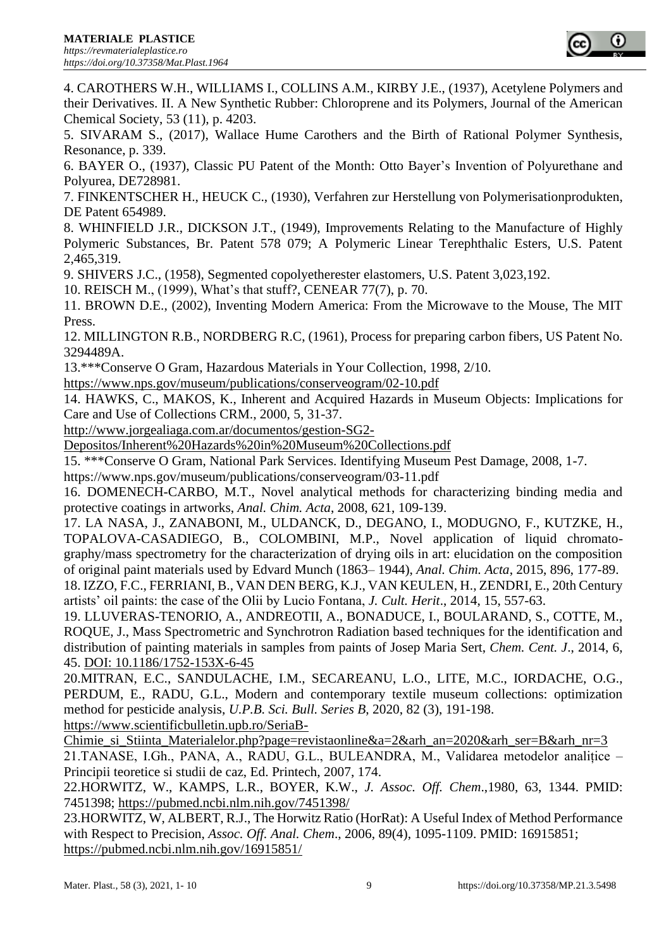4. CAROTHERS W.H., WILLIAMS I., COLLINS A.M., KIRBY J.E., (1937), Acetylene Polymers and their Derivatives. II. A New Synthetic Rubber: Chloroprene and its Polymers, Journal of the American Chemical Society, 53 (11), p. 4203.

5. SIVARAM S., (2017), Wallace Hume Carothers and the Birth of Rational Polymer Synthesis, Resonance, p. 339.

6. BAYER O., (1937), Classic PU Patent of the Month: Otto Bayer's Invention of Polyurethane and Polyurea, DE728981.

7. FINKENTSCHER H., HEUCK C., (1930), Verfahren zur Herstellung von Polymerisationprodukten, DE Patent 654989.

8. WHINFIELD J.R., DICKSON J.T., (1949), Improvements Relating to the Manufacture of Highly Polymeric Substances, Br. Patent 578 079; A Polymeric Linear Terephthalic Esters, U.S. Patent 2,465,319.

9. SHIVERS J.C., (1958), Segmented copolyetherester elastomers, U.S. Patent 3,023,192.

10. REISCH M., (1999), What's that stuff?, CENEAR 77(7), p. 70.

11. BROWN D.E., (2002), Inventing Modern America: From the Microwave to the Mouse, The MIT Press.

12. MILLINGTON R.B., NORDBERG R.C, (1961), Process for preparing carbon fibers, US Patent No. 3294489A.

13.\*\*\*Conserve O Gram, Hazardous Materials in Your Collection, 1998, 2/10.

<https://www.nps.gov/museum/publications/conserveogram/02-10.pdf>

14. HAWKS, C., MAKOS, K., Inherent and Acquired Hazards in Museum Objects: Implications for Care and Use of Collections CRM., 2000, 5, 31-37.

[http://www.jorgealiaga.com.ar/documentos/gestion-SG2-](http://www.jorgealiaga.com.ar/documentos/gestion-SG2-Depositos/Inherent%20Hazards%20in%20Museum%20Collections.pdf)

[Depositos/Inherent%20Hazards%20in%20Museum%20Collections.pdf](http://www.jorgealiaga.com.ar/documentos/gestion-SG2-Depositos/Inherent%20Hazards%20in%20Museum%20Collections.pdf)

15. \*\*\*Conserve O Gram, National Park Services. Identifying Museum Pest Damage, 2008, 1-7.

https://www.nps.gov/museum/publications/conserveogram/03-11.pdf

16. DOMENECH-CARBO, M.T., Novel analytical methods for characterizing binding media and protective coatings in artworks, *Anal. Chim. Acta*, 2008, 621, 109-139.

17. LA NASA, J., ZANABONI, M., ULDANCK, D., DEGANO, I., MODUGNO, F., KUTZKE, H., TOPALOVA-CASADIEGO, B., COLOMBINI, M.P., Novel application of liquid chromatography/mass spectrometry for the characterization of drying oils in art: elucidation on the composition of original paint materials used by Edvard Munch (1863– 1944), *Anal. Chim. Acta*, 2015, 896, 177-89.

18. IZZO, F.C., FERRIANI, B., VAN DEN BERG, K.J., VAN KEULEN, H., ZENDRI, E., 20th Century artists' oil paints: the case of the Olii by Lucio Fontana, *J. Cult. Herit*., 2014, 15, 557-63.

19. LLUVERAS-TENORIO, A., ANDREOTII, A., BONADUCE, I., BOULARAND, S., COTTE, M., ROQUE, J., Mass Spectrometric and Synchrotron Radiation based techniques for the identification and distribution of painting materials in samples from paints of Josep Maria Sert, *Chem. Cent. J*., 2014, 6, 45. DOI: 10.1186/1752-153X-6-45

20.MITRAN, E.C., SANDULACHE, I.M., SECAREANU, L.O., LITE, M.C., IORDACHE, O.G., PERDUM, E., RADU, G.L., Modern and contemporary textile museum collections: optimization method for pesticide analysis, *U.P.B. Sci. Bull. Series B*, 2020, 82 (3), 191-198. [https://www.scientificbulletin.upb.ro/SeriaB-](https://www.scientificbulletin.upb.ro/SeriaB-Chimie_si_Stiinta_Materialelor.php?page=revistaonline&a=2&arh_an=2020&arh_ser=B&arh_nr=3)

[Chimie\\_si\\_Stiinta\\_Materialelor.php?page=revistaonline&a=2&arh\\_an=2020&arh\\_ser=B&arh\\_nr=3](https://www.scientificbulletin.upb.ro/SeriaB-Chimie_si_Stiinta_Materialelor.php?page=revistaonline&a=2&arh_an=2020&arh_ser=B&arh_nr=3) 21.TANASE, I.Gh., PANA, A., RADU, G.L., BULEANDRA, M., Validarea metodelor analițice – Principii teoretice si studii de caz, Ed. Printech, 2007, 174.

22.HORWITZ, W., KAMPS, L.R., BOYER, K.W., *J. Assoc. Off. Chem*.,1980, 63, 1344. PMID: 7451398;<https://pubmed.ncbi.nlm.nih.gov/7451398/>

23.HORWITZ, W, ALBERT, R.J., The Horwitz Ratio (HorRat): A Useful Index of Method Performance with Respect to Precision, *Assoc. Off. Anal. Chem*., 2006, 89(4), 1095-1109. PMID: 16915851; <https://pubmed.ncbi.nlm.nih.gov/16915851/>